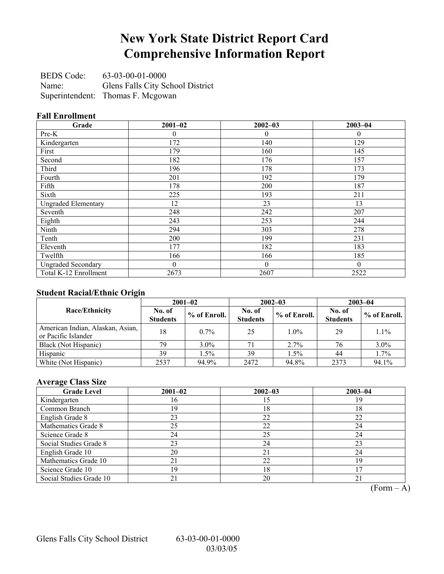# **New York State District Report Card Comprehensive Information Report**

BEDS Code: 63-03-00-01-0000 Name: Glens Falls City School District Superintendent: Thomas F. Mcgowan

#### **Fall Enrollment**

| Grade                      | $2001 - 02$    | $2002 - 03$  | $2003 - 04$ |
|----------------------------|----------------|--------------|-------------|
| Pre-K                      | 0              | 0            | $\theta$    |
| Kindergarten               | 172            | 140          | 129         |
| First                      | 179            | 160          | 145         |
| Second                     | 182            | 176          | 157         |
| Third                      | 196            | 178          | 173         |
| Fourth                     | 201            | 192          | 179         |
| Fifth                      | 178            | 200          | 187         |
| Sixth                      | 225            | 193          | 211         |
| <b>Ungraded Elementary</b> | 12             | 23           | 13          |
| Seventh                    | 248            | 242          | 207         |
| Eighth                     | 243            | 253          | 244         |
| Ninth                      | 294            | 303          | 278         |
| Tenth                      | 200            | 199          | 231         |
| Eleventh                   | 177            | 182          | 183         |
| Twelfth                    | 166            | 166          | 185         |
| <b>Ungraded Secondary</b>  | $\overline{0}$ | $\mathbf{0}$ | $\theta$    |
| Total K-12 Enrollment      | 2673           | 2607         | 2522        |

### **Student Racial/Ethnic Origin**

|                                                         | $2001 - 02$               |              |                           | $2002 - 03$  | $2003 - 04$               |                |
|---------------------------------------------------------|---------------------------|--------------|---------------------------|--------------|---------------------------|----------------|
| <b>Race/Ethnicity</b>                                   | No. of<br><b>Students</b> | % of Enroll. | No. of<br><b>Students</b> | % of Enroll. | No. of<br><b>Students</b> | $%$ of Enroll. |
| American Indian, Alaskan, Asian,<br>or Pacific Islander | 18                        | $0.7\%$      | 25                        | $1.0\%$      | 29                        | $1.1\%$        |
| Black (Not Hispanic)                                    | 79                        | $3.0\%$      |                           | 2.7%         | 76                        | $3.0\%$        |
| Hispanic                                                | 39                        | $1.5\%$      | 39                        | 1.5%         | 44                        | 1.7%           |
| White (Not Hispanic)                                    | 2537                      | 94.9%        | 2472                      | 94.8%        | 2373                      | 94.1%          |

### **Average Class Size**

| <b>Grade Level</b>      | $2001 - 02$ | $2002 - 03$ | $2003 - 04$ |
|-------------------------|-------------|-------------|-------------|
| Kindergarten            | l6          | 15          | 19          |
| Common Branch           | 19          | 18          | 18          |
| English Grade 8         | 23          | 22          | 22          |
| Mathematics Grade 8     | 25          | 22          | 24          |
| Science Grade 8         | 24          | 25          | 24          |
| Social Studies Grade 8  | 23          | 24          | 23          |
| English Grade 10        | 20          | 21          | 24          |
| Mathematics Grade 10    | 21          | 22          | 19          |
| Science Grade 10        | 19          | 18          |             |
| Social Studies Grade 10 | 21          | 20          | 21          |

 $\overline{(Form - A)}$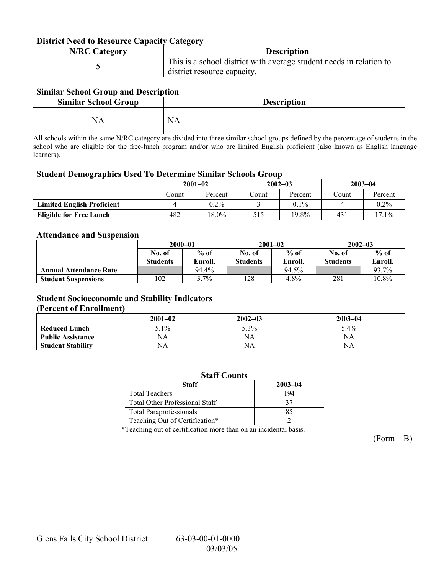#### **District Need to Resource Capacity Category**

| <b>N/RC Category</b> | <b>Description</b>                                                                                 |
|----------------------|----------------------------------------------------------------------------------------------------|
|                      | This is a school district with average student needs in relation to<br>district resource capacity. |

#### **Similar School Group and Description**

| <b>Similar School Group</b> | <b>Description</b> |
|-----------------------------|--------------------|
| NA                          | <b>NA</b>          |

All schools within the same N/RC category are divided into three similar school groups defined by the percentage of students in the school who are eligible for the free-lunch program and/or who are limited English proficient (also known as English language learners).

#### **Student Demographics Used To Determine Similar Schools Group**

|                                   | $2001 - 02$ |         | $2002 - 03$ |         | $2003 - 04$ |         |
|-----------------------------------|-------------|---------|-------------|---------|-------------|---------|
|                                   | Count       | Percent | Count       | Percent | ∑ount       | Percent |
| <b>Limited English Proficient</b> |             | $0.2\%$ |             | $0.1\%$ |             | $0.2\%$ |
| <b>Eligible for Free Lunch</b>    | 482         | 18.0%   | 515         | 19.8%   | 431         | 17.1%   |

#### **Attendance and Suspension**

|                               | $2000 - 01$     |         |                 | $2001 - 02$ | $2002 - 03$     |          |
|-------------------------------|-----------------|---------|-----------------|-------------|-----------------|----------|
|                               | No. of          | $%$ of  | No. of          | $%$ of      | No. of          | $%$ of   |
|                               | <b>Students</b> | Enroll. | <b>Students</b> | Enroll.     | <b>Students</b> | Enroll.  |
| <b>Annual Attendance Rate</b> |                 | 94.4%   |                 | 94.5%       |                 | 93.7%    |
| <b>Student Suspensions</b>    | 102             | $3.7\%$ | 128             | 4.8%        | 281             | $10.8\%$ |

### **Student Socioeconomic and Stability Indicators**

#### **(Percent of Enrollment)**

|                          | $2001 - 02$ | $2002 - 03$ | $2003 - 04$ |
|--------------------------|-------------|-------------|-------------|
| <b>Reduced Lunch</b>     | $5.1\%$     | 5.3%        | 5.4%        |
| <b>Public Assistance</b> | NΑ          | NA          | NA          |
| <b>Student Stability</b> | NΑ          | NA          | NΑ          |

| <b>Staff Counts</b>            |             |  |  |  |  |
|--------------------------------|-------------|--|--|--|--|
| <b>Staff</b>                   | $2003 - 04$ |  |  |  |  |
| <b>Total Teachers</b>          | 194         |  |  |  |  |
| Total Other Professional Staff | 37          |  |  |  |  |
| <b>Total Paraprofessionals</b> | 85          |  |  |  |  |
| Teaching Out of Certification* |             |  |  |  |  |

\*Teaching out of certification more than on an incidental basis.

 $(Form - B)$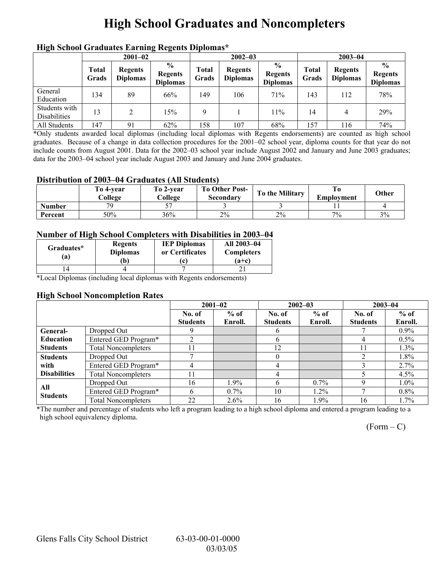# **High School Graduates and Noncompleters**

| mgn benoor Grauuates Larming regents Diplomas |                       |                                   |                                                    |                |                                   |                                                    |                |                                   |                                                    |  |
|-----------------------------------------------|-----------------------|-----------------------------------|----------------------------------------------------|----------------|-----------------------------------|----------------------------------------------------|----------------|-----------------------------------|----------------------------------------------------|--|
|                                               | $2001 - 02$           |                                   |                                                    |                | $2002 - 03$                       |                                                    |                | $2003 - 04$                       |                                                    |  |
|                                               | <b>Total</b><br>Grads | <b>Regents</b><br><b>Diplomas</b> | $\frac{0}{0}$<br><b>Regents</b><br><b>Diplomas</b> | Total<br>Grads | <b>Regents</b><br><b>Diplomas</b> | $\frac{0}{0}$<br><b>Regents</b><br><b>Diplomas</b> | Total<br>Grads | <b>Regents</b><br><b>Diplomas</b> | $\frac{0}{0}$<br><b>Regents</b><br><b>Diplomas</b> |  |
| General<br>Education                          | 134                   | 89                                | 66%                                                | 149            | 106                               | 71%                                                | 143            | 112                               | 78%                                                |  |
| Students with<br><b>Disabilities</b>          | 13                    | ↑                                 | 15%                                                | $\mathbf Q$    |                                   | 11%                                                | 14             | 4                                 | 29%                                                |  |
| All Students                                  | 147                   | 91                                | 62%                                                | 158            | 107                               | 68%                                                | 157            | 116                               | 74%                                                |  |

### **High School Graduates Earning Regents Diplomas\***

\*Only students awarded local diplomas (including local diplomas with Regents endorsements) are counted as high school graduates. Because of a change in data collection procedures for the 2001–02 school year, diploma counts for that year do not include counts from August 2001. Data for the 2002–03 school year include August 2002 and January and June 2003 graduates; data for the 2003–04 school year include August 2003 and January and June 2004 graduates.

#### **Distribution of 2003–04 Graduates (All Students)**

|               | To 4-vear<br>College | To 2-vear<br>College | <b>To Other Post-</b><br>Secondary | To the Military | Employment | Other |
|---------------|----------------------|----------------------|------------------------------------|-----------------|------------|-------|
| <b>Number</b> | 70                   |                      |                                    |                 |            |       |
| Percent       | 50%                  | 36%                  | 2%                                 | 2%              | 7%         | 3%    |

#### **Number of High School Completers with Disabilities in 2003–04**

| Graduates*<br>(a) | <b>Regents</b><br><b>Diplomas</b><br>b) | <b>IEP Diplomas</b><br>or Certificates | All 2003-04<br><b>Completers</b><br>$(a+c)$ |
|-------------------|-----------------------------------------|----------------------------------------|---------------------------------------------|
|                   |                                         |                                        |                                             |

\*Local Diplomas (including local diplomas with Regents endorsements)

#### **High School Noncompletion Rates**

|                     |                            |                 | $2001 - 02$ |                 | $2002 - 03$ | $2003 - 04$     |         |
|---------------------|----------------------------|-----------------|-------------|-----------------|-------------|-----------------|---------|
|                     |                            | No. of          | $%$ of      | No. of          | $%$ of      | No. of          | $%$ of  |
|                     |                            | <b>Students</b> | Enroll.     | <b>Students</b> | Enroll.     | <b>Students</b> | Enroll. |
| <b>General-</b>     | Dropped Out                |                 |             |                 |             |                 | $0.9\%$ |
| <b>Education</b>    | Entered GED Program*       |                 |             | h               |             | 4               | $0.5\%$ |
| <b>Students</b>     | <b>Total Noncompleters</b> |                 |             | 12              |             | 11              | $1.3\%$ |
| <b>Students</b>     | Dropped Out                |                 |             |                 |             |                 | 1.8%    |
| with                | Entered GED Program*       | 4               |             | 4               |             |                 | 2.7%    |
| <b>Disabilities</b> | <b>Total Noncompleters</b> |                 |             |                 |             |                 | $4.5\%$ |
| All                 | Dropped Out                | 16              | $1.9\%$     | h               | $0.7\%$     | Q               | $1.0\%$ |
| <b>Students</b>     | Entered GED Program*       | h               | $0.7\%$     | 10              | $1.2\%$     |                 | $0.8\%$ |
|                     | <b>Total Noncompleters</b> | 22              | $2.6\%$     | 16              | 1.9%        | 16              | 1.7%    |

\*The number and percentage of students who left a program leading to a high school diploma and entered a program leading to a high school equivalency diploma.

 $(Form - C)$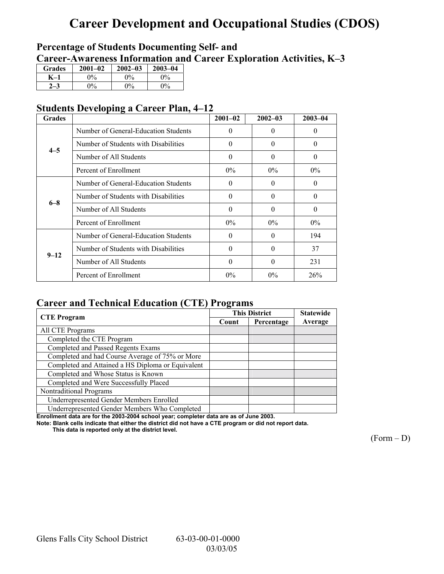# **Career Development and Occupational Studies (CDOS)**

## **Percentage of Students Documenting Self- and**  Career-Awareness Information and Career Exploration Activities, K-3

| <b>Grades</b> | $2001 - 02$ | $2002 - 03$ | $2003 - 04$           |
|---------------|-------------|-------------|-----------------------|
|               | 0%          | $0\%$       | $\gamma$ <sup>o</sup> |
|               | 9%          | $\Omega$ %  | $0\%$                 |

### **Students Developing a Career Plan, 4–12**

| <b>Grades</b> |                                      | $2001 - 02$ | $2002 - 03$ | $2003 - 04$ |
|---------------|--------------------------------------|-------------|-------------|-------------|
|               | Number of General-Education Students | $\theta$    | $\Omega$    | $\theta$    |
| $4 - 5$       | Number of Students with Disabilities | $\theta$    | $\Omega$    | $\theta$    |
|               | Number of All Students               | $\theta$    | $\Omega$    | $\theta$    |
|               | Percent of Enrollment                | $0\%$       | $0\%$       | $0\%$       |
|               | Number of General-Education Students | $\theta$    | $\Omega$    | 0           |
| $6 - 8$       | Number of Students with Disabilities | $\Omega$    | $\Omega$    | $\Omega$    |
|               | Number of All Students               | $\theta$    | $\Omega$    | $\Omega$    |
|               | Percent of Enrollment                | $0\%$       | $0\%$       | $0\%$       |
|               | Number of General-Education Students | $\Omega$    | $\Omega$    | 194         |
| $9 - 12$      | Number of Students with Disabilities | $\theta$    | $\Omega$    | 37          |
|               | Number of All Students               | $\theta$    | $\Omega$    | 231         |
|               | Percent of Enrollment                | $0\%$       | $0\%$       | 26%         |

## **Career and Technical Education (CTE) Programs**

|                                                   |       | <b>This District</b> | <b>Statewide</b> |
|---------------------------------------------------|-------|----------------------|------------------|
| <b>CTE</b> Program                                | Count | Percentage           | Average          |
| All CTE Programs                                  |       |                      |                  |
| Completed the CTE Program                         |       |                      |                  |
| Completed and Passed Regents Exams                |       |                      |                  |
| Completed and had Course Average of 75% or More   |       |                      |                  |
| Completed and Attained a HS Diploma or Equivalent |       |                      |                  |
| Completed and Whose Status is Known               |       |                      |                  |
| Completed and Were Successfully Placed            |       |                      |                  |
| Nontraditional Programs                           |       |                      |                  |
| Underrepresented Gender Members Enrolled          |       |                      |                  |
| Underrepresented Gender Members Who Completed     |       |                      |                  |

**Enrollment data are for the 2003-2004 school year; completer data are as of June 2003.** 

**Note: Blank cells indicate that either the district did not have a CTE program or did not report data.** 

 **This data is reported only at the district level.** 

 $(Form - D)$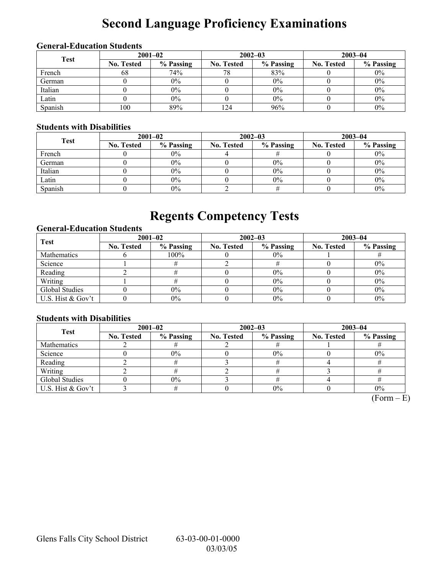# **Second Language Proficiency Examinations**

### **General-Education Students**

| <b>Test</b> | $2001 - 02$       |           |                   | $2002 - 03$ | $2003 - 04$       |           |  |
|-------------|-------------------|-----------|-------------------|-------------|-------------------|-----------|--|
|             | <b>No. Tested</b> | % Passing | <b>No. Tested</b> | % Passing   | <b>No. Tested</b> | % Passing |  |
| French      | 68                | 74%       | 78                | 83%         |                   | $0\%$     |  |
| German      |                   | $0\%$     |                   | $0\%$       |                   | $0\%$     |  |
| Italian     |                   | $0\%$     |                   | $0\%$       |                   | $0\%$     |  |
| Latin       |                   | $0\%$     |                   | $0\%$       |                   | $0\%$     |  |
| Spanish     | 100               | 89%       | 124               | 96%         |                   | $0\%$     |  |

### **Students with Disabilities**

| <b>Test</b> | $2001 - 02$       |           |                   | $2002 - 03$ | $2003 - 04$       |           |  |
|-------------|-------------------|-----------|-------------------|-------------|-------------------|-----------|--|
|             | <b>No. Tested</b> | % Passing | <b>No. Tested</b> | % Passing   | <b>No. Tested</b> | % Passing |  |
| French      |                   | $0\%$     |                   |             |                   | $0\%$     |  |
| German      |                   | $0\%$     |                   | 0%          |                   | $0\%$     |  |
| Italian     |                   | $0\%$     |                   | $0\%$       |                   | $0\%$     |  |
| Latin       |                   | $0\%$     |                   | 0%          |                   | $0\%$     |  |
| Spanish     |                   | $0\%$     |                   |             |                   | $0\%$     |  |

# **Regents Competency Tests**

### **General-Education Students**

| <b>Test</b>        | $2001 - 02$       |           |                   | $2002 - 03$ | $2003 - 04$       |           |  |
|--------------------|-------------------|-----------|-------------------|-------------|-------------------|-----------|--|
|                    | <b>No. Tested</b> | % Passing | <b>No. Tested</b> | % Passing   | <b>No. Tested</b> | % Passing |  |
| <b>Mathematics</b> |                   | 100%      |                   | $0\%$       |                   |           |  |
| Science            |                   |           |                   |             |                   | $0\%$     |  |
| Reading            |                   |           |                   | $0\%$       |                   | $0\%$     |  |
| Writing            |                   |           |                   | 0%          |                   | $0\%$     |  |
| Global Studies     |                   | $0\%$     |                   | 0%          |                   | $0\%$     |  |
| U.S. Hist & Gov't  |                   | $0\%$     |                   | 0%          |                   | $0\%$     |  |

### **Students with Disabilities**

| <b>Test</b>       | $2001 - 02$       |           |            | $2002 - 03$ | $2003 - 04$       |           |  |
|-------------------|-------------------|-----------|------------|-------------|-------------------|-----------|--|
|                   | <b>No. Tested</b> | % Passing | No. Tested | % Passing   | <b>No. Tested</b> | % Passing |  |
| Mathematics       |                   |           |            |             |                   |           |  |
| Science           |                   | $0\%$     |            | 0%          |                   | $0\%$     |  |
| Reading           |                   |           |            |             |                   |           |  |
| Writing           |                   |           |            |             |                   |           |  |
| Global Studies    |                   | $0\%$     |            |             |                   |           |  |
| U.S. Hist & Gov't |                   |           |            | 0%          |                   | $0\%$     |  |

 $(Form - E)$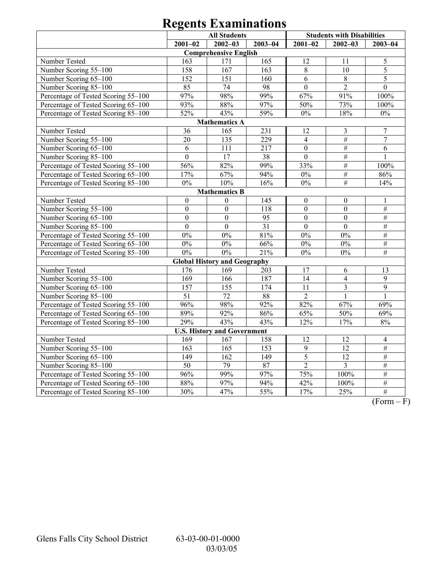|                                     | <b>All Students</b> |                                     |             |                  | <b>Students with Disabilities</b> |                  |  |  |  |
|-------------------------------------|---------------------|-------------------------------------|-------------|------------------|-----------------------------------|------------------|--|--|--|
|                                     | $2001 - 02$         | $2002 - 03$                         | $2003 - 04$ | $2001 - 02$      | $2002 - 03$                       | $2003 - 04$      |  |  |  |
| <b>Comprehensive English</b>        |                     |                                     |             |                  |                                   |                  |  |  |  |
| Number Tested                       | 163                 | 171                                 | 165         | 12               | 11                                | $\mathfrak s$    |  |  |  |
| Number Scoring 55-100               | 158                 | 167                                 | 163         | $8\,$            | 10                                | 5                |  |  |  |
| Number Scoring 65-100               | 152                 | 151                                 | 160         | 6                | $\,8\,$                           | $\overline{5}$   |  |  |  |
| Number Scoring 85-100               | 85                  | 74                                  | 98          | $\overline{0}$   | $\overline{2}$                    | $\overline{0}$   |  |  |  |
| Percentage of Tested Scoring 55-100 | 97%                 | 98%                                 | 99%         | 67%              | 91%                               | 100%             |  |  |  |
| Percentage of Tested Scoring 65-100 | 93%                 | 88%                                 | 97%         | 50%              | 73%                               | 100%             |  |  |  |
| Percentage of Tested Scoring 85-100 | 52%                 | 43%                                 | 59%         | $0\%$            | 18%                               | $0\%$            |  |  |  |
|                                     |                     | <b>Mathematics A</b>                |             |                  |                                   |                  |  |  |  |
| Number Tested                       | 36                  | 165                                 | 231         | 12               | 3                                 | $\boldsymbol{7}$ |  |  |  |
| Number Scoring 55-100               | 20                  | 135                                 | 229         | $\overline{4}$   | $\#$                              | $\overline{7}$   |  |  |  |
| Number Scoring 65-100               | 6                   | 111                                 | 217         | $\mathbf{0}$     | $\#$                              | 6                |  |  |  |
| Number Scoring 85-100               | $\overline{0}$      | 17                                  | 38          | $\overline{0}$   | $\#$                              | $\mathbf{1}$     |  |  |  |
| Percentage of Tested Scoring 55-100 | 56%                 | 82%                                 | 99%         | 33%              | $\#$                              | 100%             |  |  |  |
| Percentage of Tested Scoring 65-100 | 17%                 | 67%                                 | 94%         | $0\%$            | $\#$                              | $86\sqrt{2}$     |  |  |  |
| Percentage of Tested Scoring 85-100 | $0\%$               | 10%                                 | 16%         | $0\%$            | $\overline{\#}$                   | 14%              |  |  |  |
|                                     |                     | <b>Mathematics B</b>                |             |                  |                                   |                  |  |  |  |
| Number Tested                       | $\boldsymbol{0}$    | $\mathbf{0}$                        | 145         | $\boldsymbol{0}$ | $\mathbf{0}$                      | 1                |  |  |  |
| Number Scoring 55-100               | $\overline{0}$      | $\boldsymbol{0}$                    | 118         | $\overline{0}$   | $\mathbf{0}$                      | $\#$             |  |  |  |
| Number Scoring 65-100               | $\mathbf{0}$        | $\boldsymbol{0}$                    | 95          | $\mathbf{0}$     | $\boldsymbol{0}$                  | $\#$             |  |  |  |
| Number Scoring 85-100               | $\boldsymbol{0}$    | $\boldsymbol{0}$                    | 31          | $\boldsymbol{0}$ | $\overline{0}$                    | $\#$             |  |  |  |
| Percentage of Tested Scoring 55-100 | $0\%$               | 0%                                  | 81%         | 0%               | 0%                                | $\#$             |  |  |  |
| Percentage of Tested Scoring 65-100 | $0\%$               | $0\%$                               | 66%         | $0\%$            | 0%                                | $\#$             |  |  |  |
| Percentage of Tested Scoring 85-100 | $0\%$               | $0\%$                               | 21%         | $0\%$            | $0\%$                             | $\#$             |  |  |  |
|                                     |                     | <b>Global History and Geography</b> |             |                  |                                   |                  |  |  |  |
| Number Tested                       | 176                 | 169                                 | 203         | 17               | 6                                 | 13               |  |  |  |
| Number Scoring 55-100               | 169                 | 166                                 | 187         | 14               | $\overline{4}$                    | $\overline{9}$   |  |  |  |
| Number Scoring 65-100               | 157                 | 155                                 | 174         | 11               | $\overline{\mathbf{3}}$           | $\overline{9}$   |  |  |  |
| Number Scoring 85-100               | $\overline{51}$     | 72                                  | 88          | $\overline{2}$   | $\mathbf{1}$                      | $\mathbf{1}$     |  |  |  |
| Percentage of Tested Scoring 55-100 | 96%                 | 98%                                 | 92%         | 82%              | 67%                               | 69%              |  |  |  |
| Percentage of Tested Scoring 65-100 | 89%                 | 92%                                 | 86%         | 65%              | 50%                               | 69%              |  |  |  |
| Percentage of Tested Scoring 85-100 | 29%                 | 43%                                 | 43%         | 12%              | 17%                               | 8%               |  |  |  |
|                                     |                     | <b>U.S. History and Government</b>  |             |                  |                                   |                  |  |  |  |
| Number Tested                       | 169                 | 167                                 | 158         | 12               | 12                                | $\overline{4}$   |  |  |  |
| Number Scoring 55-100               | $\overline{163}$    | $\overline{165}$                    | 153         | $\overline{9}$   | 12                                | $\#$             |  |  |  |
| Number Scoring 65-100               | 149                 | 162                                 | 149         | 5                | $\overline{12}$                   | $\#$             |  |  |  |
| Number Scoring 85-100               | $\overline{50}$     | 79                                  | 87          | $\overline{2}$   | $\overline{3}$                    | $\#$             |  |  |  |
| Percentage of Tested Scoring 55-100 | 96%                 | 99%                                 | 97%         | 75%              | 100%                              | $\#$             |  |  |  |
| Percentage of Tested Scoring 65-100 | 88%                 | 97%                                 | 94%         | 42%              | 100%                              | $\#$             |  |  |  |
| Percentage of Tested Scoring 85-100 | 30%                 | 47%                                 | 55%         | 17%              | 25%                               | $\#$             |  |  |  |

 $\overline{(Form - F)}$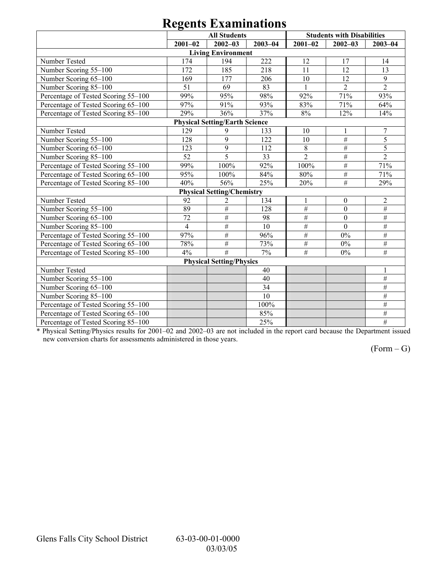|                                     |                | <b>All Students</b>                   |             |                 | <b>Students with Disabilities</b> |                  |
|-------------------------------------|----------------|---------------------------------------|-------------|-----------------|-----------------------------------|------------------|
|                                     | $2001 - 02$    | $2002 - 03$                           | $2003 - 04$ | $2001 - 02$     | $2002 - 03$                       | $2003 - 04$      |
|                                     |                | <b>Living Environment</b>             |             |                 |                                   |                  |
| Number Tested                       | 174            | 194                                   | 222         | 12              | 17                                | 14               |
| Number Scoring 55-100               | 172            | 185                                   | 218         | 11              | 12                                | 13               |
| Number Scoring 65-100               | 169            | 177                                   | 206         | 10              | 12                                | 9                |
| Number Scoring 85-100               | 51             | 69                                    | 83          | $\mathbf{1}$    | $\overline{2}$                    | $\overline{2}$   |
| Percentage of Tested Scoring 55-100 | 99%            | 95%                                   | 98%         | 92%             | 71%                               | 93%              |
| Percentage of Tested Scoring 65-100 | 97%            | 91%                                   | 93%         | 83%             | 71%                               | 64%              |
| Percentage of Tested Scoring 85-100 | 29%            | 36%                                   | 37%         | 8%              | 12%                               | 14%              |
|                                     |                | <b>Physical Setting/Earth Science</b> |             |                 |                                   |                  |
| Number Tested                       | 129            | 9                                     | 133         | 10              | $\mathbf{1}$                      | $\boldsymbol{7}$ |
| Number Scoring 55-100               | 128            | 9                                     | 122         | 10              | $\overline{\#}$                   | 5                |
| Number Scoring 65-100               | 123            | $\overline{9}$                        | 112         | $\overline{8}$  | $\#$                              | $\overline{5}$   |
| Number Scoring 85-100               | 52             | 5                                     | 33          | $\overline{2}$  | $\#$                              | $\overline{2}$   |
| Percentage of Tested Scoring 55-100 | 99%            | 100%                                  | 92%         | 100%            | $\#$                              | 71%              |
| Percentage of Tested Scoring 65-100 | 95%            | 100%                                  | 84%         | 80%             | $\#$                              | 71%              |
| Percentage of Tested Scoring 85-100 | 40%            | 56%                                   | 25%         | 20%             | $\#$                              | 29%              |
|                                     |                | <b>Physical Setting/Chemistry</b>     |             |                 |                                   |                  |
| Number Tested                       | 92             | 2                                     | 134         |                 | $\boldsymbol{0}$                  | $\boldsymbol{2}$ |
| Number Scoring 55-100               | 89             | #                                     | 128         | $\overline{\#}$ | $\overline{0}$                    | $\#$             |
| Number Scoring 65-100               | 72             | #                                     | 98          | #               | $\overline{0}$                    | $\#$             |
| Number Scoring 85-100               | $\overline{4}$ | #                                     | 10          | $\#$            | $\theta$                          | #                |
| Percentage of Tested Scoring 55-100 | 97%            | $\overline{\#}$                       | 96%         | $\overline{\#}$ | 0%                                | $\overline{\#}$  |
| Percentage of Tested Scoring 65-100 | 78%            | $\#$                                  | 73%         | $\overline{\#}$ | $0\%$                             | $\#$             |
| Percentage of Tested Scoring 85-100 | 4%             | #                                     | 7%          | $\overline{\#}$ | $0\%$                             | #                |
|                                     |                | <b>Physical Setting/Physics</b>       |             |                 |                                   |                  |
| Number Tested                       |                |                                       | 40          |                 |                                   | $\mathbf{1}$     |
| Number Scoring 55-100               |                |                                       | 40          |                 |                                   | $\overline{\#}$  |
| Number Scoring 65-100               |                |                                       | 34          |                 |                                   | $\#$             |
| Number Scoring 85-100               |                |                                       | 10          |                 |                                   | $\overline{\#}$  |
| Percentage of Tested Scoring 55-100 |                |                                       | 100%        |                 |                                   | #                |
| Percentage of Tested Scoring 65-100 |                |                                       | 85%         |                 |                                   | $\#$             |
| Percentage of Tested Scoring 85-100 |                |                                       | 25%         |                 |                                   | $\overline{\#}$  |

\* Physical Setting/Physics results for 2001–02 and 2002–03 are not included in the report card because the Department issued new conversion charts for assessments administered in those years.

 $(Form - G)$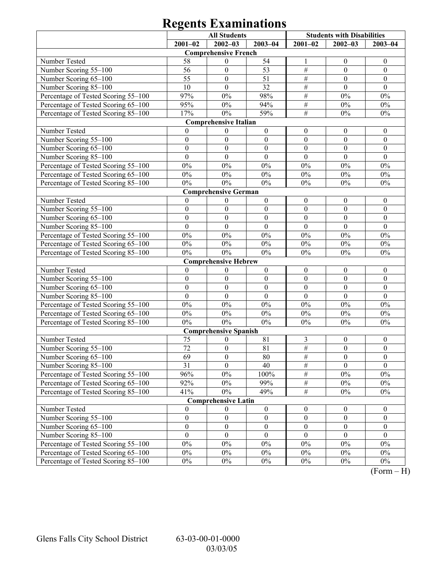|                                     | <b>All Students</b> |                              | <b>Students with Disabilities</b> |                  |                  |                  |
|-------------------------------------|---------------------|------------------------------|-----------------------------------|------------------|------------------|------------------|
|                                     | $2001 - 02$         | $2002 - 03$                  | $2003 - 04$                       | $2001 - 02$      | $2002 - 03$      | $2003 - 04$      |
|                                     |                     | <b>Comprehensive French</b>  |                                   |                  |                  |                  |
| Number Tested                       | 58                  | $\mathbf{0}$                 | 54                                | -1               | $\boldsymbol{0}$ | $\boldsymbol{0}$ |
| Number Scoring 55-100               | 56                  | $\boldsymbol{0}$             | 53                                | $\#$             | $\mathbf{0}$     | $\boldsymbol{0}$ |
| Number Scoring 65-100               | 55                  | $\boldsymbol{0}$             | 51                                | $\#$             | $\mathbf{0}$     | $\boldsymbol{0}$ |
| Number Scoring 85-100               | 10                  | $\theta$                     | 32                                | $\#$             | $\theta$         | $\theta$         |
| Percentage of Tested Scoring 55-100 | 97%                 | $0\%$                        | 98%                               | $\#$             | $0\%$            | $0\%$            |
| Percentage of Tested Scoring 65-100 | 95%                 | $0\%$                        | 94%                               | $\overline{\#}$  | $0\%$            | $0\%$            |
| Percentage of Tested Scoring 85-100 | 17%                 | $0\%$                        | 59%                               | $\overline{\#}$  | $0\%$            | $0\%$            |
|                                     |                     | <b>Comprehensive Italian</b> |                                   |                  |                  |                  |
| Number Tested                       | $\overline{0}$      | $\boldsymbol{0}$             | $\boldsymbol{0}$                  | $\boldsymbol{0}$ | $\boldsymbol{0}$ | $\boldsymbol{0}$ |
| Number Scoring 55-100               | $\boldsymbol{0}$    | $\boldsymbol{0}$             | $\boldsymbol{0}$                  | $\boldsymbol{0}$ | $\mathbf{0}$     | $\boldsymbol{0}$ |
| Number Scoring 65-100               | $\boldsymbol{0}$    | $\boldsymbol{0}$             | $\boldsymbol{0}$                  | $\boldsymbol{0}$ | $\boldsymbol{0}$ | $\boldsymbol{0}$ |
| Number Scoring 85-100               | $\overline{0}$      | $\overline{0}$               | $\mathbf{0}$                      | $\mathbf{0}$     | $\mathbf{0}$     | $\mathbf{0}$     |
| Percentage of Tested Scoring 55-100 | $0\%$               | $0\%$                        | $0\%$                             | $0\%$            | $0\%$            | $0\%$            |
| Percentage of Tested Scoring 65-100 | $0\%$               | $0\%$                        | $0\%$                             | $0\%$            | $0\%$            | $0\%$            |
| Percentage of Tested Scoring 85-100 | $0\%$               | $0\%$                        | $0\%$                             | $0\%$            | $0\%$            | $0\%$            |
|                                     |                     | <b>Comprehensive German</b>  |                                   |                  |                  |                  |
| Number Tested                       | $\mathbf{0}$        | $\mathbf{0}$                 | $\boldsymbol{0}$                  | $\boldsymbol{0}$ | $\boldsymbol{0}$ | $\boldsymbol{0}$ |
| Number Scoring 55-100               | $\boldsymbol{0}$    | $\boldsymbol{0}$             | $\boldsymbol{0}$                  | $\boldsymbol{0}$ | $\mathbf{0}$     | $\boldsymbol{0}$ |
| Number Scoring 65-100               | $\boldsymbol{0}$    | $\boldsymbol{0}$             | $\boldsymbol{0}$                  | $\boldsymbol{0}$ | $\boldsymbol{0}$ | $\boldsymbol{0}$ |
| Number Scoring 85-100               | $\mathbf{0}$        | $\overline{0}$               | $\mathbf{0}$                      | $\mathbf{0}$     | $\mathbf{0}$     | $\mathbf{0}$     |
| Percentage of Tested Scoring 55-100 | $0\%$               | $0\%$                        | $0\%$                             | $0\%$            | $0\%$            | $0\%$            |
| Percentage of Tested Scoring 65-100 | $0\%$               | $0\%$                        | $0\%$                             | $0\%$            | $0\%$            | $0\%$            |
| Percentage of Tested Scoring 85-100 | $0\%$               | $0\%$                        | $0\%$                             | $0\%$            | $0\%$            | $0\%$            |
|                                     |                     | <b>Comprehensive Hebrew</b>  |                                   |                  |                  |                  |
| Number Tested                       | $\overline{0}$      | $\boldsymbol{0}$             | $\boldsymbol{0}$                  | $\boldsymbol{0}$ | $\boldsymbol{0}$ | $\boldsymbol{0}$ |
| Number Scoring 55-100               | $\boldsymbol{0}$    | $\boldsymbol{0}$             | $\boldsymbol{0}$                  | $\boldsymbol{0}$ | $\mathbf{0}$     | $\boldsymbol{0}$ |
| Number Scoring 65-100               | $\boldsymbol{0}$    | $\boldsymbol{0}$             | $\boldsymbol{0}$                  | $\boldsymbol{0}$ | $\mathbf{0}$     | $\boldsymbol{0}$ |
| Number Scoring 85-100               | $\boldsymbol{0}$    | $\boldsymbol{0}$             | $\boldsymbol{0}$                  | $\boldsymbol{0}$ | $\mathbf{0}$     | $\mathbf{0}$     |
| Percentage of Tested Scoring 55-100 | $0\%$               | $0\%$                        | $0\%$                             | $0\%$            | $0\%$            | $0\%$            |
| Percentage of Tested Scoring 65-100 | $0\%$               | $0\%$                        | $0\%$                             | $0\%$            | $0\%$            | $0\%$            |
| Percentage of Tested Scoring 85-100 | $0\%$               | $0\%$                        | $0\%$                             | $0\%$            | $0\%$            | $0\%$            |
|                                     |                     | <b>Comprehensive Spanish</b> |                                   |                  |                  |                  |
| Number Tested                       | 75                  | $\boldsymbol{0}$             | 81                                | 3                | $\boldsymbol{0}$ | $\boldsymbol{0}$ |
| Number Scoring 55-100               | 72                  | $\boldsymbol{0}$             | 81                                | $\#$             | $\boldsymbol{0}$ | $\boldsymbol{0}$ |
| Number Scoring 65-100               | 69                  | $\boldsymbol{0}$             | 80                                | #                | $\boldsymbol{0}$ | $\boldsymbol{0}$ |
| Number Scoring 85-100               | 31                  | $\theta$                     | 40                                | #                | $\theta$         | $\mathbf{0}$     |
| Percentage of Tested Scoring 55-100 | 96%                 | $0\%$                        | 100%                              | $\#$             | $0\%$            | $0\%$            |
| Percentage of Tested Scoring 65-100 | 92%                 | $0\%$                        | 99%                               | $\overline{\#}$  | $0\%$            | $0\%$            |
| Percentage of Tested Scoring 85-100 | 41%                 | $0\%$                        | 49%                               | $\overline{\#}$  | $0\%$            | $0\%$            |
|                                     |                     | <b>Comprehensive Latin</b>   |                                   |                  |                  |                  |
| Number Tested                       | $\mathbf{0}$        | $\bf{0}$                     | $\boldsymbol{0}$                  | $\boldsymbol{0}$ | $\boldsymbol{0}$ | $\boldsymbol{0}$ |
| Number Scoring 55-100               | $\boldsymbol{0}$    | $\boldsymbol{0}$             | $\boldsymbol{0}$                  | $\boldsymbol{0}$ | $\boldsymbol{0}$ | $\boldsymbol{0}$ |
| Number Scoring 65-100               | $\boldsymbol{0}$    | $\boldsymbol{0}$             | $\boldsymbol{0}$                  | $\boldsymbol{0}$ | $\boldsymbol{0}$ | $\boldsymbol{0}$ |
| Number Scoring 85-100               | $\mathbf{0}$        | $\mathbf{0}$                 | $\mathbf{0}$                      | $\mathbf{0}$     | $\theta$         | $\theta$         |
| Percentage of Tested Scoring 55-100 | $0\%$               | $0\%$                        | $0\%$                             | $0\%$            | $0\%$            | $0\%$            |
| Percentage of Tested Scoring 65-100 | $0\%$               | $0\%$                        | $0\%$                             | $0\%$            | $0\%$            | $0\%$            |
| Percentage of Tested Scoring 85-100 | $0\%$               | $0\%$                        | $0\%$                             | $0\%$            | $0\%$            | $0\%$            |

 $(Form - H)$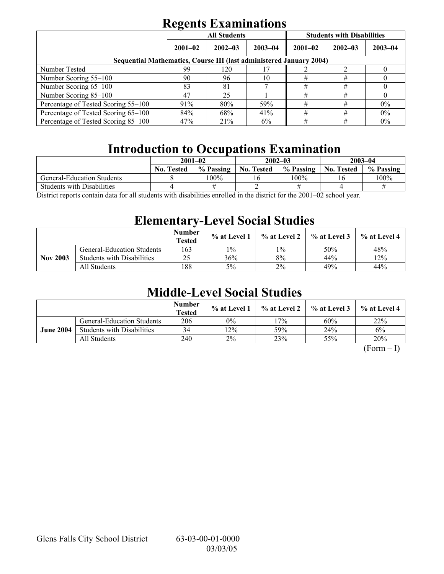|                                                                            | <b>All Students</b> |             |             | <b>Students with Disabilities</b> |             |             |
|----------------------------------------------------------------------------|---------------------|-------------|-------------|-----------------------------------|-------------|-------------|
|                                                                            | $2001 - 02$         | $2002 - 03$ | $2003 - 04$ | $2001 - 02$                       | $2002 - 03$ | $2003 - 04$ |
| <b>Sequential Mathematics, Course III (last administered January 2004)</b> |                     |             |             |                                   |             |             |
| Number Tested                                                              | 99                  | 120         |             |                                   |             |             |
| Number Scoring 55-100                                                      | 90                  | 96          | 10          | #                                 | #           |             |
| Number Scoring 65-100                                                      | 83                  | 81          |             | #                                 | #           |             |
| Number Scoring 85-100                                                      | 47                  | 25          |             | #                                 | #           |             |
| Percentage of Tested Scoring 55-100                                        | 91%                 | 80%         | 59%         | #                                 | #           | $0\%$       |
| Percentage of Tested Scoring 65-100                                        | 84%                 | 68%         | 41%         | #                                 | #           | $0\%$       |
| Percentage of Tested Scoring 85–100                                        | 47%                 | 21%         | 6%          | #                                 | #           | $0\%$       |

# **Introduction to Occupations Examination**

|                                                |                   | $2001 - 02$ |                   | $2002 - 03$ | $2003 - 04$       |           |  |
|------------------------------------------------|-------------------|-------------|-------------------|-------------|-------------------|-----------|--|
|                                                | <b>No. Tested</b> | % Passing   | <b>No. Tested</b> | % Passing   | <b>No. Tested</b> | % Passing |  |
| General-Education Students                     |                   | 100%        |                   | 100%        |                   | $100\%$   |  |
| <b>Students with Disabilities</b>              |                   |             |                   |             |                   |           |  |
| $\sqrt{2}$ $\sqrt{1}$ 0.001 0.0<br>11.<br>-11- |                   |             |                   |             |                   |           |  |

District reports contain data for all students with disabilities enrolled in the district for the 2001–02 school year.

# **Elementary-Level Social Studies**

|                 |                                   | <b>Number</b><br>Tested | % at Level 1 | % at Level 2 | $\%$ at Level 3 | % at Level 4 |
|-----------------|-----------------------------------|-------------------------|--------------|--------------|-----------------|--------------|
|                 | <b>General-Education Students</b> | 163                     | 10/0         | $1\%$        | 50%             | 48%          |
| <b>Nov 2003</b> | <b>Students with Disabilities</b> | 25                      | 36%          | 8%           | 44%             | 12%          |
|                 | All Students                      | 188                     | 5%           | $2\%$        | 49%             | 44%          |

# **Middle-Level Social Studies**

|                  |                                   | <b>Number</b><br><b>Tested</b> | % at Level 1 | % at Level 2 | $\frac{6}{6}$ at Level 3 | $%$ at Level 4 |
|------------------|-----------------------------------|--------------------------------|--------------|--------------|--------------------------|----------------|
|                  | <b>General-Education Students</b> | 206                            | 0%           | $7\%$        | 60%                      | 22%            |
| <b>June 2004</b> | <b>Students with Disabilities</b> | 34                             | $2\%$        | 59%          | 24%                      | 6%             |
|                  | All Students                      | 240                            | $2\%$        | 23%          | 55%                      | 20%            |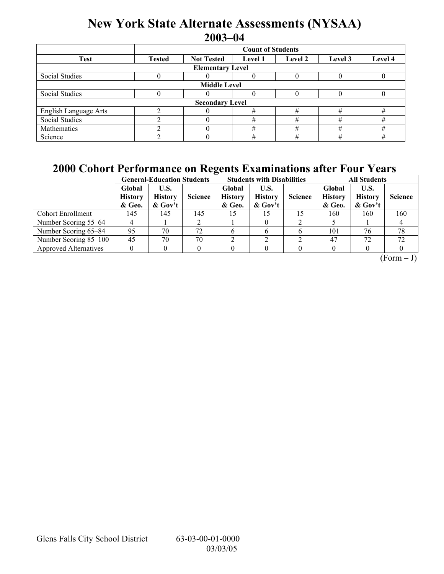# **New York State Alternate Assessments (NYSAA) 2003-04**

|                         | <b>Count of Students</b>                                                              |                        |   |   |   |   |  |  |  |
|-------------------------|---------------------------------------------------------------------------------------|------------------------|---|---|---|---|--|--|--|
| <b>Test</b>             | <b>Not Tested</b><br>Level 4<br><b>Tested</b><br>Level 2<br>Level 3<br><b>Level</b> 1 |                        |   |   |   |   |  |  |  |
| <b>Elementary Level</b> |                                                                                       |                        |   |   |   |   |  |  |  |
| Social Studies          |                                                                                       |                        | 0 |   |   |   |  |  |  |
| <b>Middle Level</b>     |                                                                                       |                        |   |   |   |   |  |  |  |
| Social Studies          |                                                                                       |                        | 0 |   |   |   |  |  |  |
|                         |                                                                                       | <b>Secondary Level</b> |   |   |   |   |  |  |  |
| English Language Arts   |                                                                                       |                        | # | # | # | # |  |  |  |
| <b>Social Studies</b>   |                                                                                       |                        | # | # | # | # |  |  |  |
| Mathematics             |                                                                                       |                        | # | # | # | # |  |  |  |
| Science                 |                                                                                       |                        | # | # | # | # |  |  |  |

## **2000 Cohort Performance on Regents Examinations after Four Years**

|                              |                                    | <b>General-Education Students</b>    |                |                                    | <b>Students with Disabilities</b>    |                | <b>All Students</b>                |                                      |                |  |
|------------------------------|------------------------------------|--------------------------------------|----------------|------------------------------------|--------------------------------------|----------------|------------------------------------|--------------------------------------|----------------|--|
|                              | Global<br><b>History</b><br>& Geo. | U.S.<br><b>History</b><br>$\&$ Gov't | <b>Science</b> | Global<br><b>History</b><br>& Geo. | U.S.<br><b>History</b><br>$\&$ Gov't | <b>Science</b> | Global<br><b>History</b><br>& Geo. | U.S.<br><b>History</b><br>$\&$ Gov't | <b>Science</b> |  |
| <b>Cohort Enrollment</b>     | 145                                | 145                                  | 145            |                                    | 15                                   | 15             | 160                                | 160                                  | 160            |  |
| Number Scoring 55–64         |                                    |                                      |                |                                    |                                      |                |                                    |                                      |                |  |
| Number Scoring 65–84         | 95                                 | 70                                   | 72             |                                    |                                      |                | 101                                | 76                                   | 78             |  |
| Number Scoring 85–100        | 45                                 | 70                                   | 70             |                                    |                                      |                | 47                                 | 72                                   | 72             |  |
| <b>Approved Alternatives</b> |                                    |                                      |                |                                    |                                      |                |                                    |                                      |                |  |

 $(Form - J)$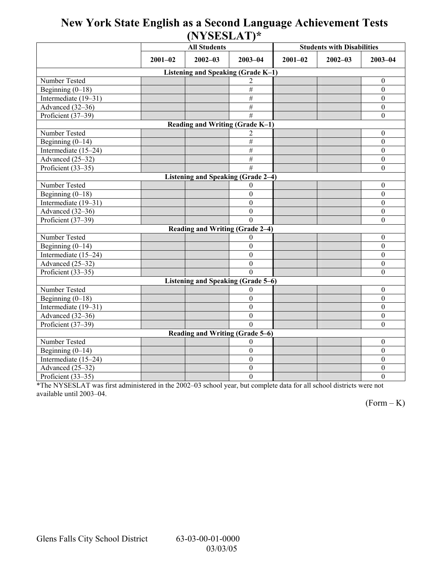## **New York State English as a Second Language Achievement Tests (NYSESLAT)\***

|                                    |             | <b>All Students</b>                       |                  | <b>Students with Disabilities</b> |             |                  |  |  |  |  |
|------------------------------------|-------------|-------------------------------------------|------------------|-----------------------------------|-------------|------------------|--|--|--|--|
|                                    | $2001 - 02$ | $2002 - 03$                               | $2003 - 04$      | $2001 - 02$                       | $2002 - 03$ | $2003 - 04$      |  |  |  |  |
| Listening and Speaking (Grade K-1) |             |                                           |                  |                                   |             |                  |  |  |  |  |
| Number Tested                      |             |                                           |                  |                                   |             | $\mathbf{0}$     |  |  |  |  |
| Beginning $(0-18)$                 |             |                                           | #                |                                   |             | $\mathbf{0}$     |  |  |  |  |
| Intermediate (19-31)               |             |                                           | $\overline{\#}$  |                                   |             | $\boldsymbol{0}$ |  |  |  |  |
| Advanced (32-36)                   |             |                                           | $\overline{\#}$  |                                   |             | $\boldsymbol{0}$ |  |  |  |  |
| Proficient (37-39)                 |             |                                           | $\overline{H}$   |                                   |             | $\boldsymbol{0}$ |  |  |  |  |
|                                    |             | Reading and Writing (Grade K-1)           |                  |                                   |             |                  |  |  |  |  |
| Number Tested                      |             |                                           |                  |                                   |             | $\boldsymbol{0}$ |  |  |  |  |
| Beginning $(0-14)$                 |             |                                           | $\#$             |                                   |             | $\boldsymbol{0}$ |  |  |  |  |
| Intermediate (15-24)               |             |                                           | $\#$             |                                   |             | $\mathbf{0}$     |  |  |  |  |
| Advanced $(25-32)$                 |             |                                           | $\overline{\#}$  |                                   |             | $\boldsymbol{0}$ |  |  |  |  |
| Proficient $(33-35)$               |             |                                           | #                |                                   |             | $\boldsymbol{0}$ |  |  |  |  |
|                                    |             | Listening and Speaking (Grade 2-4)        |                  |                                   |             |                  |  |  |  |  |
| Number Tested                      |             |                                           | 0                |                                   |             | $\theta$         |  |  |  |  |
| Beginning $(0-18)$                 |             |                                           | $\theta$         |                                   |             | $\boldsymbol{0}$ |  |  |  |  |
| Intermediate (19-31)               |             |                                           | $\theta$         |                                   |             | $\mathbf{0}$     |  |  |  |  |
| Advanced (32-36)                   |             |                                           | $\mathbf{0}$     |                                   |             | $\boldsymbol{0}$ |  |  |  |  |
| Proficient (37-39)                 |             |                                           | $\Omega$         |                                   |             | $\mathbf{0}$     |  |  |  |  |
|                                    |             | Reading and Writing (Grade 2-4)           |                  |                                   |             |                  |  |  |  |  |
| Number Tested                      |             |                                           | 0                |                                   |             | $\boldsymbol{0}$ |  |  |  |  |
| Beginning $(0-14)$                 |             |                                           | $\Omega$         |                                   |             | $\theta$         |  |  |  |  |
| Intermediate (15-24)               |             |                                           | $\theta$         |                                   |             | $\boldsymbol{0}$ |  |  |  |  |
| Advanced (25–32)                   |             |                                           | $\boldsymbol{0}$ |                                   |             | $\boldsymbol{0}$ |  |  |  |  |
| Proficient (33-35)                 |             |                                           | $\Omega$         |                                   |             | $\mathbf{0}$     |  |  |  |  |
|                                    |             | <b>Listening and Speaking (Grade 5-6)</b> |                  |                                   |             |                  |  |  |  |  |
| Number Tested                      |             |                                           | 0                |                                   |             | $\boldsymbol{0}$ |  |  |  |  |
| Beginning $(0-18)$                 |             |                                           | $\theta$         |                                   |             | $\mathbf{0}$     |  |  |  |  |
| Intermediate (19-31)               |             |                                           | $\boldsymbol{0}$ |                                   |             | $\boldsymbol{0}$ |  |  |  |  |
| Advanced (32-36)                   |             |                                           | $\Omega$         |                                   |             | $\boldsymbol{0}$ |  |  |  |  |
| Proficient (37-39)                 |             |                                           | $\Omega$         |                                   |             | $\theta$         |  |  |  |  |
| Reading and Writing (Grade 5-6)    |             |                                           |                  |                                   |             |                  |  |  |  |  |
| Number Tested                      |             |                                           | 0                |                                   |             | $\mathbf{0}$     |  |  |  |  |
| Beginning $(0-14)$                 |             |                                           | $\theta$         |                                   |             | $\boldsymbol{0}$ |  |  |  |  |
| Intermediate (15-24)               |             |                                           | $\boldsymbol{0}$ |                                   |             | $\boldsymbol{0}$ |  |  |  |  |
| Advanced (25-32)                   |             |                                           | $\boldsymbol{0}$ |                                   |             | $\boldsymbol{0}$ |  |  |  |  |
| Proficient (33-35)                 |             |                                           | $\overline{0}$   |                                   |             | $\overline{0}$   |  |  |  |  |

\*The NYSESLAT was first administered in the 2002-03 school year, but complete data for all school districts were not available until 2003-04.

 $(Form - K)$